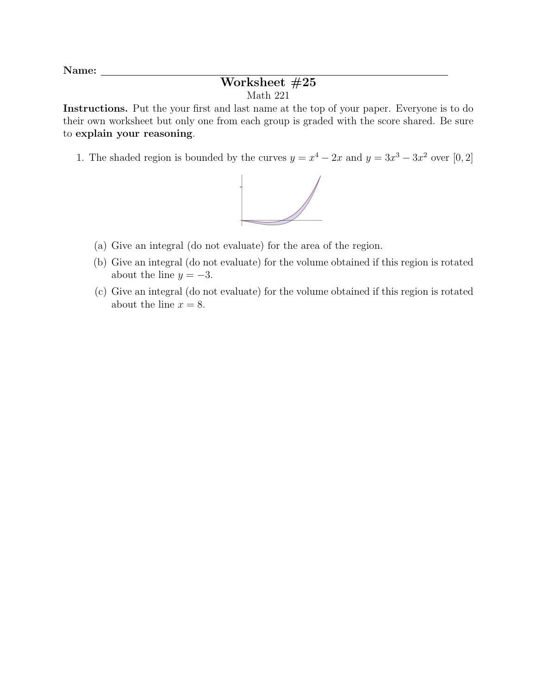Name:

## Worksheet #25 Math 221

Instructions. Put the your first and last name at the top of your paper. Everyone is to do their own worksheet but only one from each group is graded with the score shared. Be sure to explain your reasoning.

1. The shaded region is bounded by the curves  $y = x^4 - 2x$  and  $y = 3x^3 - 3x^2$  over [0, 2]



- (a) Give an integral (do not evaluate) for the area of the region.
- (b) Give an integral (do not evaluate) for the volume obtained if this region is rotated about the line  $y = -3$ .
- (c) Give an integral (do not evaluate) for the volume obtained if this region is rotated about the line  $x = 8$ .